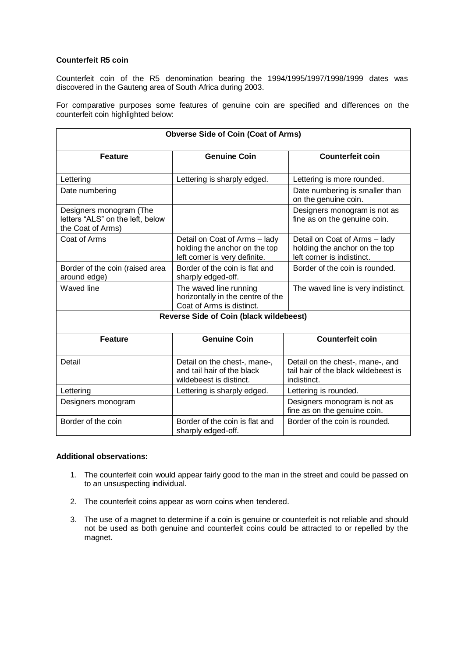## **Counterfeit R5 coin**

Counterfeit coin of the R5 denomination bearing the 1994/1995/1997/1998/1999 dates was discovered in the Gauteng area of South Africa during 2003.

For comparative purposes some features of genuine coin are specified and differences on the counterfeit coin highlighted below:

| <b>Obverse Side of Coin (Coat of Arms)</b>                                       |                                                                                                 |                                                                                              |
|----------------------------------------------------------------------------------|-------------------------------------------------------------------------------------------------|----------------------------------------------------------------------------------------------|
| <b>Feature</b>                                                                   | <b>Genuine Coin</b>                                                                             | <b>Counterfeit coin</b>                                                                      |
| Lettering                                                                        | Lettering is sharply edged.                                                                     | Lettering is more rounded.                                                                   |
| Date numbering                                                                   |                                                                                                 | Date numbering is smaller than<br>on the genuine coin.                                       |
| Designers monogram (The<br>letters "ALS" on the left, below<br>the Coat of Arms) |                                                                                                 | Designers monogram is not as<br>fine as on the genuine coin.                                 |
| Coat of Arms                                                                     | Detail on Coat of Arms - lady<br>holding the anchor on the top<br>left corner is very definite. | Detail on Coat of Arms - lady<br>holding the anchor on the top<br>left corner is indistinct. |
| Border of the coin (raised area<br>around edge)                                  | Border of the coin is flat and<br>sharply edged-off.                                            | Border of the coin is rounded.                                                               |
| Waved line                                                                       | The waved line running<br>horizontally in the centre of the<br>Coat of Arms is distinct.        | The waved line is very indistinct.                                                           |
| <b>Reverse Side of Coin (black wildebeest)</b>                                   |                                                                                                 |                                                                                              |
| <b>Feature</b>                                                                   | <b>Genuine Coin</b>                                                                             | <b>Counterfeit coin</b>                                                                      |
| Detail                                                                           | Detail on the chest-, mane-,<br>and tail hair of the black<br>wildebeest is distinct.           | Detail on the chest-, mane-, and<br>tail hair of the black wildebeest is<br>indistinct.      |
| Lettering                                                                        | Lettering is sharply edged.                                                                     | Lettering is rounded.                                                                        |
| Designers monogram                                                               |                                                                                                 | Designers monogram is not as<br>fine as on the genuine coin.                                 |
| Border of the coin                                                               | Border of the coin is flat and<br>sharply edged-off.                                            | Border of the coin is rounded.                                                               |

## **Additional observations:**

- 1. The counterfeit coin would appear fairly good to the man in the street and could be passed on to an unsuspecting individual.
- 2. The counterfeit coins appear as worn coins when tendered.
- 3. The use of a magnet to determine if a coin is genuine or counterfeit is not reliable and should not be used as both genuine and counterfeit coins could be attracted to or repelled by the magnet.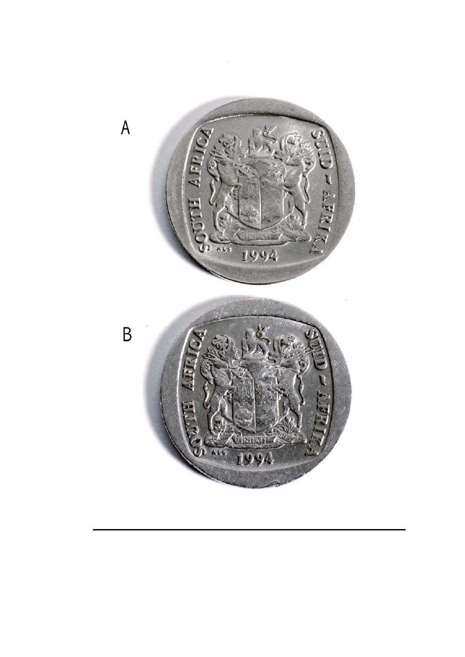